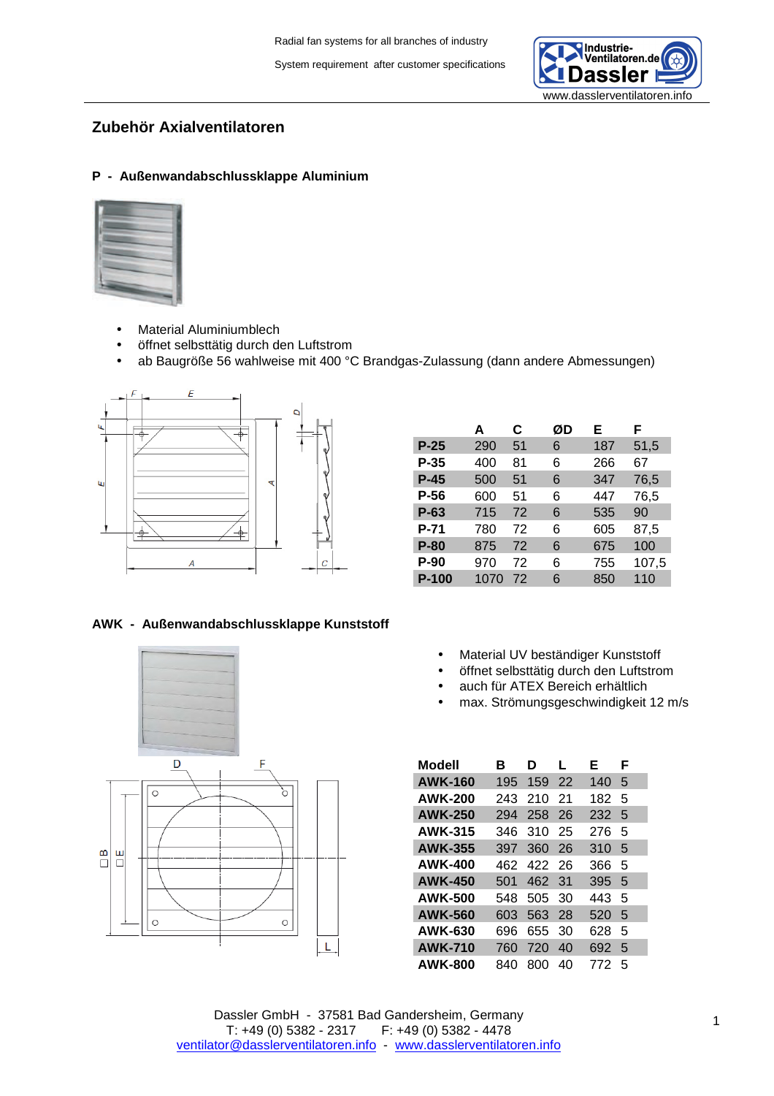

# **Zubehör Axialventilatoren**

## **P - Außenwandabschlussklappe Aluminium**



- Material Aluminiumblech
- öffnet selbsttätig durch den Luftstrom
- ab Baugröße 56 wahlweise mit 400 °C Brandgas-Zulassung (dann andere Abmessungen)



|              | A    | C  | ØD | E.  | F     |
|--------------|------|----|----|-----|-------|
| $P-25$       | 290  | 51 | 6  | 187 | 51,5  |
| P-35         | 400  | 81 | 6  | 266 | 67    |
| P-45         | 500  | 51 | 6  | 347 | 76,5  |
| P-56         | 600  | 51 | 6  | 447 | 76,5  |
| $P-63$       | 715  | 72 | 6  | 535 | 90    |
| P-71         | 780  | 72 | 6  | 605 | 87.5  |
| <b>P-80</b>  | 875  | 72 | 6  | 675 | 100   |
| <b>P-90</b>  | 970  | 72 | 6  | 755 | 107,5 |
| <b>P-100</b> | 1070 | 72 | 6  | 850 | 110   |

#### **AWK - Außenwandabschlussklappe Kunststoff**



- Material UV beständiger Kunststoff
- öffnet selbsttätig durch den Luftstrom
- auch für ATEX Bereich erhältlich
- max. Strömungsgeschwindigkeit 12 m/s

| Modell         | R   | D   | L  | Е   | F |
|----------------|-----|-----|----|-----|---|
| <b>AWK-160</b> | 195 | 159 | 22 | 140 | 5 |
| <b>AWK-200</b> | 243 | 210 | 21 | 182 | 5 |
| <b>AWK-250</b> | 294 | 258 | 26 | 232 | 5 |
| AWK-315        | 346 | 310 | 25 | 276 | 5 |
| <b>AWK-355</b> | 397 | 360 | 26 | 310 | 5 |
| <b>AWK-400</b> | 462 | 422 | 26 | 366 | 5 |
| <b>AWK-450</b> | 501 | 462 | 31 | 395 | 5 |
| <b>AWK-500</b> | 548 | 505 | 30 | 443 | 5 |
| <b>AWK-560</b> | 603 | 563 | 28 | 520 | 5 |
| <b>AWK-630</b> | 696 | 655 | 30 | 628 | 5 |
| <b>AWK-710</b> | 760 | 720 | 40 | 692 | 5 |
| <b>AWK-800</b> | 840 | 800 | 40 | 772 | 5 |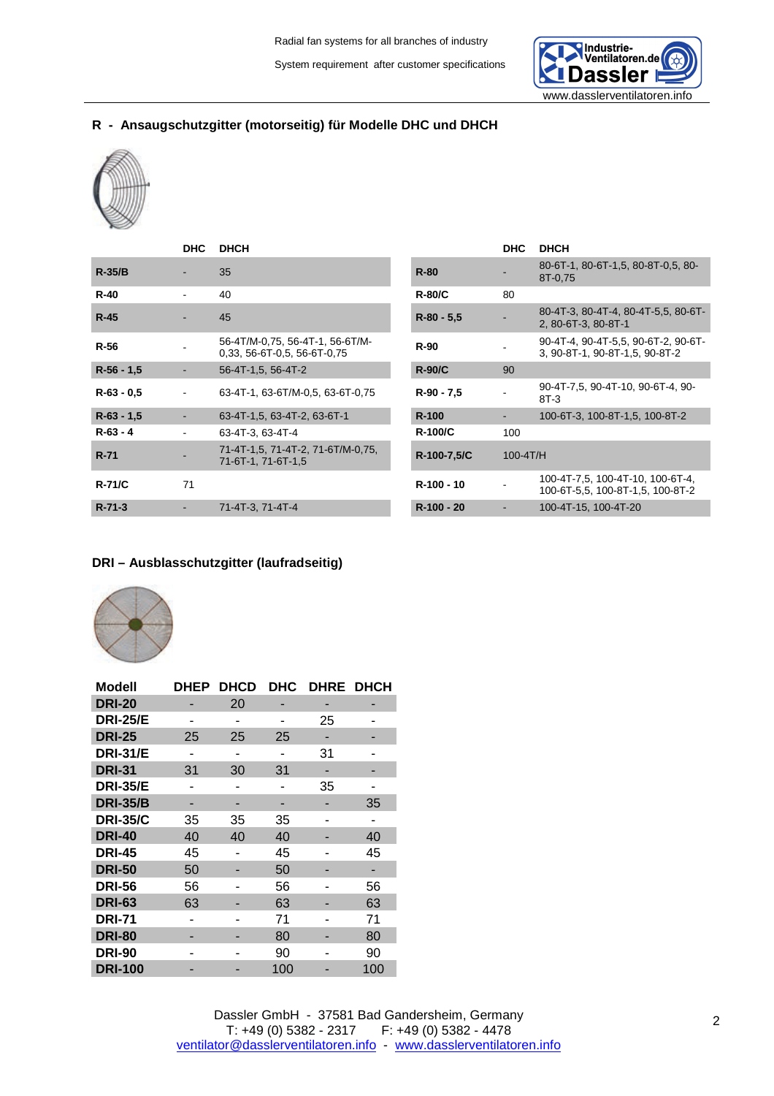

# **R - Ansaugschutzgitter (motorseitig) für Modelle DHC und DHCH**



|              | <b>DHC</b>     | <b>DHCH</b>                                                      |             |                | <b>DHC</b> | <b>DHCH</b>                                                        |
|--------------|----------------|------------------------------------------------------------------|-------------|----------------|------------|--------------------------------------------------------------------|
| $R-35/B$     |                | 35                                                               | $R-80$      |                |            | 80-6T-1, 80-6T-1, 5, 80-8T-0, 5, 8<br>8T-0,75                      |
| $R-40$       |                | 40                                                               |             | <b>R-80/C</b>  | 80         |                                                                    |
| $R-45$       |                | 45                                                               |             | $R-80 - 5,5$   |            | 80-4T-3, 80-4T-4, 80-4T-5,5, 80-<br>2, 80-6T-3, 80-8T-1            |
| $R-56$       |                | 56-4T/M-0.75, 56-4T-1, 56-6T/M-<br>$0.33, 56-6T-0.5, 56-6T-0.75$ | <b>R-90</b> |                |            | 90-4T-4, 90-4T-5,5, 90-6T-2, 90-<br>3. 90-8T-1, 90-8T-1.5, 90-8T-2 |
| $R-56 - 1,5$ |                | 56-4T-1,5, 56-4T-2                                               |             | $R-90/C$       | 90         |                                                                    |
| $R-63 - 0.5$ |                | 63-4T-1, 63-6T/M-0.5, 63-6T-0.75                                 |             | $R-90 - 7,5$   |            | 90-4T-7,5, 90-4T-10, 90-6T-4, 90<br>$8T-3$                         |
| $R-63 - 1.5$ |                | 63-4T-1,5, 63-4T-2, 63-6T-1                                      | R-100       |                |            | 100-6T-3, 100-8T-1,5, 100-8T-2                                     |
| $R-63 - 4$   |                | 63-4T-3, 63-4T-4                                                 |             | <b>R-100/C</b> | 100        |                                                                    |
| $R-71$       |                | 71-4T-1.5, 71-4T-2, 71-6T/M-0.75,<br>71-6T-1, 71-6T-1,5          |             | R-100-7,5/C    | 100-4T/H   |                                                                    |
| $R-71/C$     | 71             |                                                                  |             | R-100 - 10     |            | 100-4T-7,5, 100-4T-10, 100-6T-4<br>100-6T-5.5, 100-8T-1.5, 100-8T- |
| $R - 71 - 3$ | $\blacksquare$ | 71-4T-3, 71-4T-4                                                 |             | R-100 - 20     |            | 100-4T-15, 100-4T-20                                               |
|              |                |                                                                  |             |                |            |                                                                    |

|                | <b>DHC</b> | <b>DHCH</b>                                                            |
|----------------|------------|------------------------------------------------------------------------|
| <b>R-80</b>    |            | 80-6T-1, 80-6T-1,5, 80-8T-0,5, 80-<br>8T-0.75                          |
| $R-80/C$       | 80         |                                                                        |
| R-80 - 5,5     |            | 80-4T-3, 80-4T-4, 80-4T-5,5, 80-6T-<br>2, 80-6T-3, 80-8T-1             |
| <b>R-90</b>    |            | 90-4T-4, 90-4T-5,5, 90-6T-2, 90-6T-<br>3, 90-8T-1, 90-8T-1, 5, 90-8T-2 |
| $R-90/C$       | 90         |                                                                        |
| R-90 - 7,5     |            | 90-4T-7,5, 90-4T-10, 90-6T-4, 90-<br>$8T-3$                            |
| $R - 100$      |            | 100-6T-3, 100-8T-1,5, 100-8T-2                                         |
| <b>R-100/C</b> | 100        |                                                                        |
| R-100-7,5/C    | 100-4T/H   |                                                                        |
| R-100 - 10     |            | 100-4T-7,5, 100-4T-10, 100-6T-4,<br>100-6T-5.5, 100-8T-1.5, 100-8T-2   |
| R-100 - 20     |            | 100-4T-15, 100-4T-20                                                   |

## **DRI – Ausblasschutzgitter (laufradseitig)**



| Modell          | <b>DHEP</b> | <b>DHCD</b> | DHC | <b>DHRE</b> | <b>DHCH</b> |
|-----------------|-------------|-------------|-----|-------------|-------------|
| <b>DRI-20</b>   |             | 20          |     |             |             |
| <b>DRI-25/E</b> |             |             |     | 25          |             |
| <b>DRI-25</b>   | 25          | 25          | 25  |             |             |
| <b>DRI-31/E</b> |             |             |     | 31          |             |
| <b>DRI-31</b>   | 31          | 30          | 31  |             |             |
| <b>DRI-35/E</b> |             |             |     | 35          |             |
| <b>DRI-35/B</b> |             |             |     |             | 35          |
| <b>DRI-35/C</b> | 35          | 35          | 35  |             |             |
| <b>DRI-40</b>   | 40          | 40          | 40  |             | 40          |
| <b>DRI-45</b>   | 45          |             | 45  |             | 45          |
| <b>DRI-50</b>   | 50          |             | 50  |             |             |
| <b>DRI-56</b>   | 56          |             | 56  |             | 56          |
| <b>DRI-63</b>   | 63          |             | 63  |             | 63          |
| <b>DRI-71</b>   |             |             | 71  |             | 71          |
| <b>DRI-80</b>   |             |             | 80  |             | 80          |
| <b>DRI-90</b>   |             |             | 90  |             | 90          |
| <b>DRI-100</b>  |             |             | 100 |             | 100         |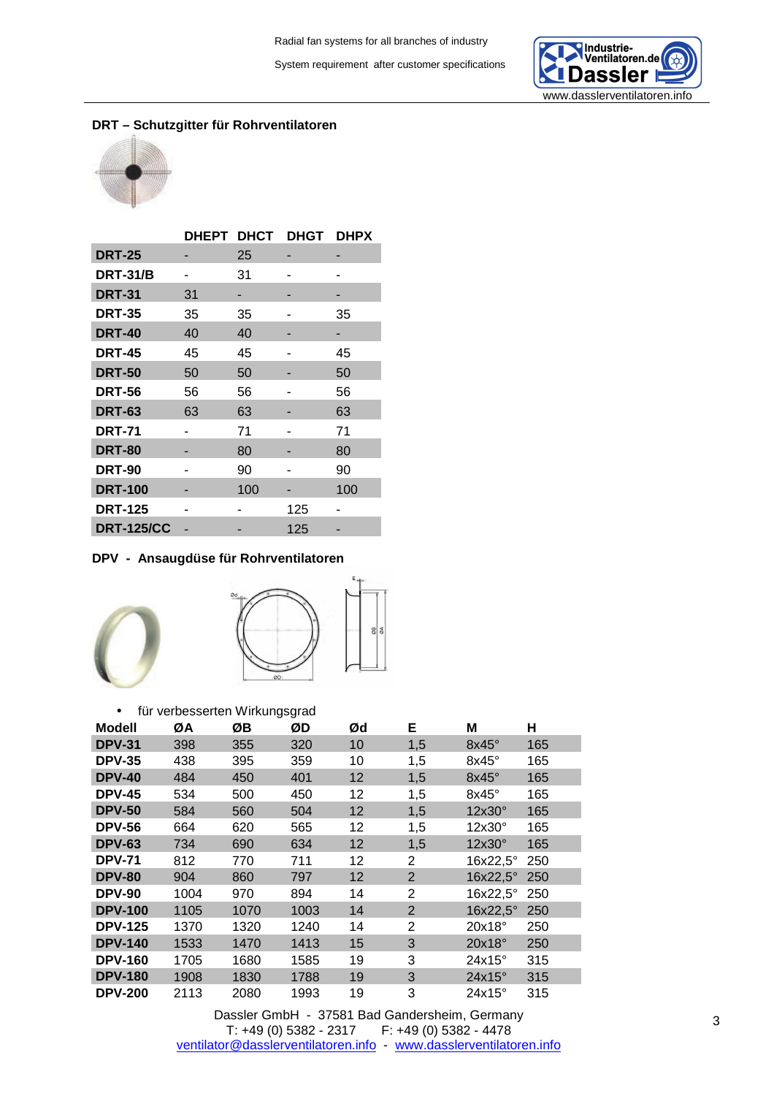

## **DRT – Schutzgitter für Rohrventilatoren**



|                   | <b>DHEPT</b> | <b>DHCT</b> | DHGT | <b>DHPX</b> |
|-------------------|--------------|-------------|------|-------------|
| <b>DRT-25</b>     |              | 25          |      |             |
| <b>DRT-31/B</b>   |              | 31          |      |             |
| <b>DRT-31</b>     | 31           | -           |      |             |
| <b>DRT-35</b>     | 35           | 35          |      | 35          |
| <b>DRT-40</b>     | 40           | 40          |      |             |
| <b>DRT-45</b>     | 45           | 45          |      | 45          |
| <b>DRT-50</b>     | 50           | 50          |      | 50          |
| <b>DRT-56</b>     | 56           | 56          |      | 56          |
| <b>DRT-63</b>     | 63           | 63          |      | 63          |
| <b>DRT-71</b>     |              | 71          |      | 71          |
| <b>DRT-80</b>     |              | 80          |      | 80          |
| <b>DRT-90</b>     |              | 90          |      | 90          |
| <b>DRT-100</b>    |              | 100         |      | 100         |
| <b>DRT-125</b>    | ۰            |             | 125  |             |
| <b>DRT-125/CC</b> |              |             | 125  |             |

## **DPV - Ansaugdüse für Rohrventilatoren**





| für verbesserten Wirkungsgrad<br>$\bullet$ |      |      |      |    |                |               |     |  |  |  |  |
|--------------------------------------------|------|------|------|----|----------------|---------------|-----|--|--|--|--|
| <b>Modell</b>                              | ØΑ   | ØΒ   | ØD   | Ød | Е              | Μ             | н   |  |  |  |  |
| <b>DPV-31</b>                              | 398  | 355  | 320  | 10 | 1,5            | $8x45^\circ$  | 165 |  |  |  |  |
| <b>DPV-35</b>                              | 438  | 395  | 359  | 10 | 1,5            | $8x45^\circ$  | 165 |  |  |  |  |
| <b>DPV-40</b>                              | 484  | 450  | 401  | 12 | 1,5            | 8x45°         | 165 |  |  |  |  |
| <b>DPV-45</b>                              | 534  | 500  | 450  | 12 | 1,5            | $8x45^\circ$  | 165 |  |  |  |  |
| <b>DPV-50</b>                              | 584  | 560  | 504  | 12 | 1,5            | 12x30°        | 165 |  |  |  |  |
| <b>DPV-56</b>                              | 664  | 620  | 565  | 12 | 1,5            | $12x30^\circ$ | 165 |  |  |  |  |
| <b>DPV-63</b>                              | 734  | 690  | 634  | 12 | 1,5            | $12x30^\circ$ | 165 |  |  |  |  |
| <b>DPV-71</b>                              | 812  | 770  | 711  | 12 | 2              | 16x22,5°      | 250 |  |  |  |  |
| <b>DPV-80</b>                              | 904  | 860  | 797  | 12 | 2              | 16x22,5°      | 250 |  |  |  |  |
| <b>DPV-90</b>                              | 1004 | 970  | 894  | 14 | 2              | 16x22,5°      | 250 |  |  |  |  |
| <b>DPV-100</b>                             | 1105 | 1070 | 1003 | 14 | $\overline{2}$ | 16x22,5°      | 250 |  |  |  |  |
| <b>DPV-125</b>                             | 1370 | 1320 | 1240 | 14 | $\overline{2}$ | $20x18^\circ$ | 250 |  |  |  |  |
| <b>DPV-140</b>                             | 1533 | 1470 | 1413 | 15 | 3              | 20x18°        | 250 |  |  |  |  |
| <b>DPV-160</b>                             | 1705 | 1680 | 1585 | 19 | 3              | $24x15^\circ$ | 315 |  |  |  |  |
| <b>DPV-180</b>                             | 1908 | 1830 | 1788 | 19 | 3              | $24x15^\circ$ | 315 |  |  |  |  |
| <b>DPV-200</b>                             | 2113 | 2080 | 1993 | 19 | 3              | $24x15^\circ$ | 315 |  |  |  |  |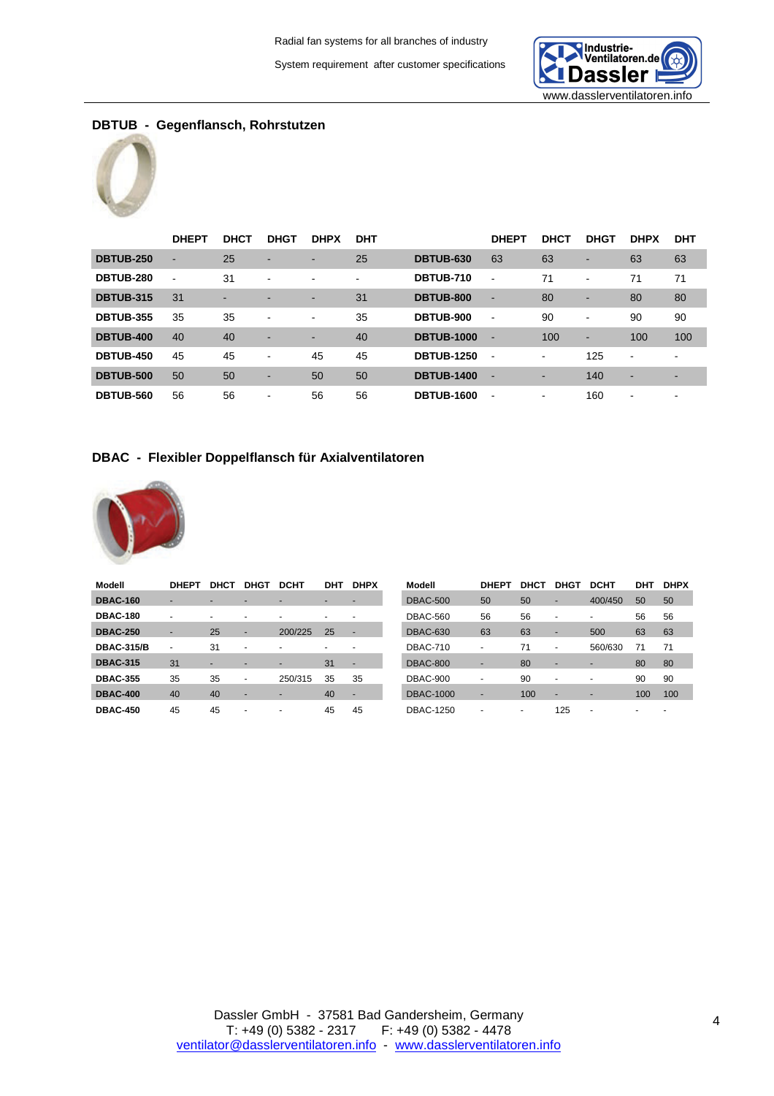

# **DBTUB - Gegenflansch, Rohrstutzen**



|                  | <b>DHEPT</b>   | <b>DHCT</b> | <b>DHGT</b>              | <b>DHPX</b>              | <b>DHT</b>     |                   | <b>DHEPT</b>             | <b>DHCT</b>    | <b>DHGT</b>              | <b>DHPX</b>    | <b>DHT</b> |
|------------------|----------------|-------------|--------------------------|--------------------------|----------------|-------------------|--------------------------|----------------|--------------------------|----------------|------------|
| <b>DBTUB-250</b> | ٠              | 25          | $\overline{\phantom{a}}$ | $\overline{\phantom{a}}$ | 25             | <b>DBTUB-630</b>  | 63                       | 63             | $\sim$                   | 63             | 63         |
| <b>DBTUB-280</b> | $\blacksquare$ | 31          | $\overline{\phantom{a}}$ | $\blacksquare$           | $\blacksquare$ | <b>DBTUB-710</b>  | $\overline{\phantom{a}}$ | 71             | $\sim$                   | 71             | 71         |
| <b>DBTUB-315</b> | 31             | ۰           |                          | $\blacksquare$           | 31             | <b>DBTUB-800</b>  | $\blacksquare$           | 80             | $\overline{\phantom{a}}$ | 80             | 80         |
| <b>DBTUB-355</b> | 35             | 35          | $\overline{\phantom{0}}$ | $\blacksquare$           | 35             | <b>DBTUB-900</b>  | $\blacksquare$           | 90             | $\sim$                   | 90             | 90         |
| <b>DBTUB-400</b> | 40             | 40          |                          | -                        | 40             | <b>DBTUB-1000</b> | $\overline{\phantom{a}}$ | 100            | $\overline{\phantom{a}}$ | 100            | 100        |
| <b>DBTUB-450</b> | 45             | 45          | $\overline{\phantom{a}}$ | 45                       | 45             | <b>DBTUB-1250</b> | $\overline{\phantom{a}}$ | $\blacksquare$ | 125                      | $\blacksquare$ | -          |
| <b>DBTUB-500</b> | 50             | 50          | $\overline{\phantom{a}}$ | 50                       | 50             | <b>DBTUB-1400</b> | $\overline{\phantom{a}}$ | -              | 140                      | ۰              | -          |
| <b>DBTUB-560</b> | 56             | 56          | $\overline{\phantom{a}}$ | 56                       | 56             | <b>DBTUB-1600</b> | $\overline{\phantom{a}}$ | -              | 160                      | $\,$           | -          |

#### **DBAC - Flexibler Doppelflansch für Axialventilatoren**



| Modell            | <b>DHEPT</b>   | <b>DHCT</b> | <b>DHG1</b>              | <b>DCHT</b> | DHT                      | <b>DHPX</b>              | Modell           | <b>DHEPT</b>             | DHCT | <b>DHGT</b>              | <b>DCHT</b>              | DHT                      | <b>DHPX</b>              |
|-------------------|----------------|-------------|--------------------------|-------------|--------------------------|--------------------------|------------------|--------------------------|------|--------------------------|--------------------------|--------------------------|--------------------------|
| <b>DBAC-160</b>   |                |             | -                        |             |                          |                          | <b>DBAC-500</b>  | 50                       | 50   | ٠                        | 400/450                  | 50                       | 50                       |
| <b>DBAC-180</b>   | $\overline{a}$ |             | $\overline{\phantom{0}}$ |             | $\overline{\phantom{0}}$ |                          | <b>DBAC-560</b>  | 56                       | 56   | $\overline{a}$           | $\overline{\phantom{0}}$ | 56                       | 56                       |
| <b>DBAC-250</b>   | $\blacksquare$ | 25          | $\overline{\phantom{a}}$ | 200/225     | 25                       |                          | <b>DBAC-630</b>  | 63                       | 63   | $\blacksquare$           | 500                      | 63                       | 63                       |
| <b>DBAC-315/B</b> | $\overline{a}$ | 31          | $\overline{\phantom{0}}$ |             | $\overline{a}$           |                          | <b>DBAC-710</b>  |                          | 71   | $\overline{\phantom{a}}$ | 560/630                  | 71                       | 71                       |
| <b>DBAC-315</b>   | 31             | -           | -                        |             | 31                       | $\overline{\phantom{a}}$ | <b>DBAC-800</b>  |                          | 80   | ٠                        | -                        | 80                       | 80                       |
| <b>DBAC-355</b>   | 35             | 35          | $\overline{\phantom{a}}$ | 250/315     | 35                       | 35                       | <b>DBAC-900</b>  | $\overline{\phantom{0}}$ | 90   | $\overline{\phantom{a}}$ | $\overline{\phantom{a}}$ | 90                       | 90                       |
| <b>DBAC-400</b>   | 40             | 40          | ۰                        |             | 40                       | $\overline{\phantom{a}}$ | <b>DBAC-1000</b> | $\overline{\phantom{a}}$ | 100  | $\overline{\phantom{a}}$ | ۰                        | 100                      | 100                      |
| <b>DBAC-450</b>   | 45             | 45          | $\overline{\phantom{0}}$ |             | 45                       | 45                       | <b>DBAC-1250</b> | $\overline{\phantom{0}}$ |      | 125                      | $\overline{\phantom{a}}$ | $\overline{\phantom{0}}$ | $\overline{\phantom{a}}$ |